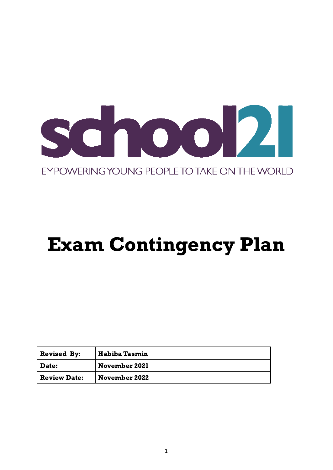

# EMPOWERING YOUNG PEOPLE TO TAKE ON THE WORLD

# Exam Contingency Plan

| <b>Revised By:</b>  | <b>Habiba Tasmin</b> |
|---------------------|----------------------|
| Date:               | <b>November 2021</b> |
| <b>Review Date:</b> | <b>November 2022</b> |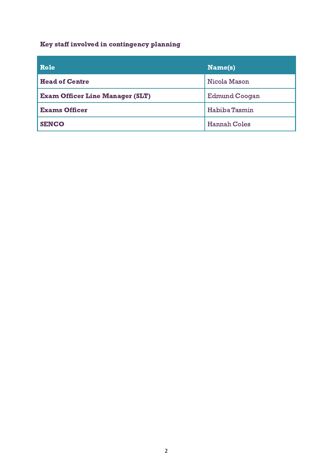# Key staff involved in contingency planning

| Role                                   | $ \mathbf{Name(s)} $ |
|----------------------------------------|----------------------|
| <b>Head of Centre</b>                  | Nicola Mason         |
| <b>Exam Officer Line Manager (SLT)</b> | <b>Edmund Coogan</b> |
| <b>Exams Officer</b>                   | Habiba Tasmin        |
| <b>SENCO</b>                           | <b>Hannah Coles</b>  |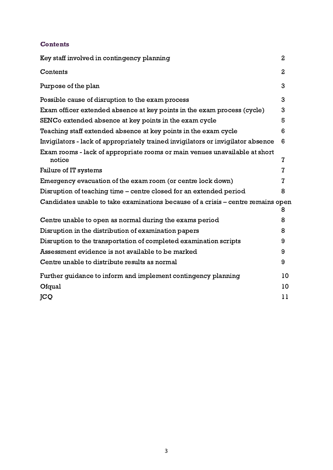# **Contents**

| Key staff involved in contingency planning                                           |                |
|--------------------------------------------------------------------------------------|----------------|
| Contents                                                                             | $\overline{a}$ |
| Purpose of the plan                                                                  | 3              |
| Possible cause of disruption to the exam process                                     | 3              |
| Exam officer extended absence at key points in the exam process (cycle)              | 3              |
| SENCo extended absence at key points in the exam cycle                               | 5              |
| Teaching staff extended absence at key points in the exam cycle                      | 6              |
| Invigilators - lack of appropriately trained invigilators or invigilator absence     | 6              |
| Exam rooms - lack of appropriate rooms or main venues unavailable at short<br>notice | $\mathbf{Z}$   |
| Failure of IT systems                                                                | $\overline{I}$ |
| Emergency evacuation of the exam room (or centre lock down)                          | $\overline{I}$ |
| Disruption of teaching time – centre closed for an extended period                   | 8              |
| Candidates unable to take examinations because of a crisis – centre remains open     | 8              |
| Centre unable to open as normal during the exams period                              | 8              |
| Disruption in the distribution of examination papers                                 | 8              |
| Disruption to the transportation of completed examination scripts                    | 9              |
| Assessment evidence is not available to be marked                                    | 9              |
| Centre unable to distribute results as normal                                        | 9              |
| Further guidance to inform and implement contingency planning                        |                |
| Ofqual                                                                               | 10             |
| <b>JCQ</b>                                                                           | 11             |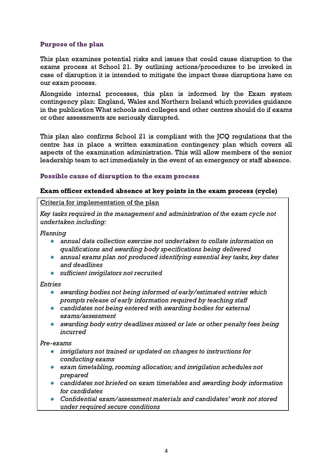# Purpose of the plan

This plan examines potential risks and issues that could cause disruption to the exams process at School 21. By outlining actions/procedures to be invoked in case of disruption it is intended to mitigate the impact these disruptions have on our exam process.

Alongside internal processes, this plan is informed by the Exam system contingency plan: England, Wales and Northern Ireland which provides guidance in the publication What schools and colleges and other centres should do if exams or other assessments are seriously disrupted.

This plan also confirms School 21 is compliant with the JCQ regulations that the centre has in place a written examination contingency plan which covers all aspects of the examination administration. This will allow members of the senior leadership team to act immediately in the event of an emergency or staff absence.

#### Possible cause of disruption to the exam process

#### Exam officer extended absence at key points in the exam process (cycle)

Criteria for implementation of the plan

Key tasks required in the management and administration of the exam cycle not undertaken including:

Planning

- *●* annual data collection exercise not undertaken to collate information on qualifications and awarding body specifications being delivered
- *●* annual exams plan not produced identifying essential key tasks, key dates and deadlines
- *●* sufficient invigilators not recruited

#### Entries

- *●* awarding bodies not being informed of early/estimated entries which prompts release of early information required by teaching staff
- *●* candidates not being entered with awarding bodies for external exams/assessment
- *●* awarding body entry deadlines missed or late or other penalty fees being incurred

#### Pre-exams

- *●* invigilators not trained or updated on changes to instructions for conducting exams
- exam timetabling, rooming allocation; and invigilation schedules not prepared
- candidates not briefed on exam timetables and awarding body information for candidates
- *●* Confidential exam/assessment materials and candidates' work not stored under required secure conditions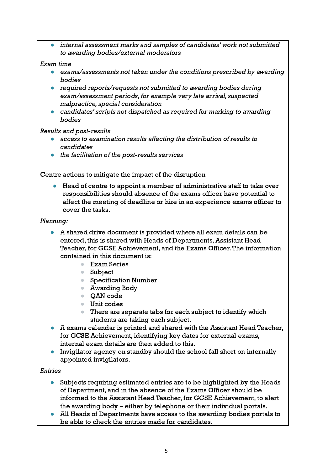internal assessment marks and samples of candidates' work not submitted to awarding bodies/external moderators

# Exam time

- *●* exams/assessments not taken under the conditions prescribed by awarding bodies
- *●* required reports/requests not submitted to awarding bodies during exam/assessment periods, for example very late arrival, suspected malpractice, special consideration
- candidates' scripts not dispatched as required for marking to awarding bodies

# Results and post-results

- access to examination results affecting the distribution of results to candidates
- the facilitation of the post-results services

# Centre actions to mitigate the impact of the disruption

Head of centre to appoint a member of administrative staff to take over responsibilities should absence of the exams officer have potential to affect the meeting of deadline or hire in an experience exams officer to cover the tasks.

# Planning:

- A shared drive document is provided where all exam details can be entered, this is shared with Heads of Departments, Assistant Head Teacher, for GCSE Achievement, and the Exams Officer.The information contained in this document is:
	- Exam Series
	- Subject
	- Specification Number
	- Awarding Body
	- OAN code
	- Unit codes
	- There are separate tabs for each subject to identify which students are taking each subject.
- A exams calendar is printed and shared with the Assistant Head Teacher, for GCSE Achievement, identifying key dates for external exams, internal exam details are then added to this.
- Invigilator agency on standby should the school fall short on internally appointed invigilators.

# Entries

- Subjects requiring estimated entries are to be highlighted by the Heads of Department, and in the absence of the Exams Officer should be informed to the Assistant Head Teacher, for GCSE Achievement, to alert the awarding body – either by telephone or their individual portals.
- All Heads of Departments have access to the awarding bodies portals to be able to check the entries made for candidates.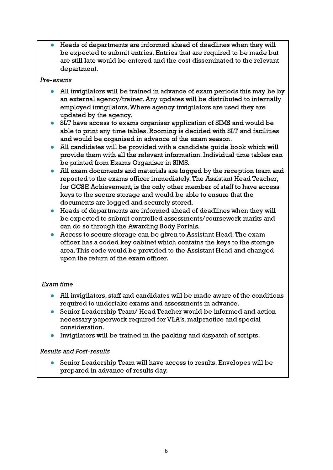Heads of departments are informed ahead of deadlines when they will be expected to submit entries. Entries that are required to be made but are still late would be entered and the cost disseminated to the relevant department.

#### Pre-exams

- All invigilators will be trained in advance of exam periods this may be by an external agency/trainer.Any updates will be distributed to internally employed invigilators.Where agency invigilators are used they are updated by the agency.
- SLT have access to exams organiser application of SIMS and would be able to print any time tables. Rooming is decided with SLT and facilities and would be organised in advance of the exam season.
- All candidates will be provided with a candidate quide book which will provide them with all the relevant information. Individual time tables can be printed from Exams Organiser in SIMS.
- All exam documents and materials are logged by the reception team and reported to the exams officer immediately.The Assistant Head Teacher, for GCSE Achievement, is the only other member of staff to have access keys to the secure storage and would be able to ensure that the documents are logged and securely stored.
- Heads of departments are informed ahead of deadlines when they will be expected to submit controlled assessments/coursework marks and can do so through the Awarding Body Portals.
- Access to secure storage can be given to Assistant Head. The exam officer has a coded key cabinet which contains the keys to the storage area.This code would be provided to the Assistant Head and changed upon the return of the exam officer.

# Exam time

- All invigilators, staff and candidates will be made aware of the conditions required to undertake exams and assessments in advance.
- Senior Leadership Team/ Head Teacher would be informed and action necessary paperwork required for VLA's, malpractice and special consideration.
- Invigilators will be trained in the packing and dispatch of scripts.

# Results and Post-results

● Senior Leadership Team will have access to results. Envelopes will be prepared in advance of results day.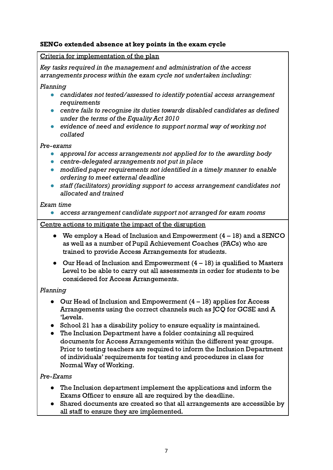# SENCo extended absence at key points in the exam cycle

# Criteria for implementation of the plan

Key tasks required in the management and administration of the access arrangements process within the exam cycle not undertaken including:

# Planning

- *●* candidates not tested/assessed to identify potential access arrangement requirements
- *●* centre fails to recognise its duties towards disabled candidates as defined under the terms of the Equality Act 2010
- *●* evidence of need and evidence to support normal way of working not collated

# Pre-exams

- *●* approval for access arrangements not applied for to the awarding body
- *●* centre-delegated arrangements not put in place
- *●* modified paper requirements not identified in a timely manner to enable ordering to meet external deadline
- staff (facilitators) providing support to access arrangement candidates not allocated and trained

# Exam time

*●* access arrangement candidate support not arranged for exam rooms

# Centre actions to mitigate the impact of the disruption

- *●* We employ a Head of Inclusion and Empowerment (4 18) and a SENCO as well as a number of Pupil Achievement Coaches (PACs) who are trained to provide Access Arrangements for students.
- Our Head of Inclusion and Empowerment  $(4 18)$  is qualified to Masters Level to be able to carry out all assessments in order for students to be considered for Access Arrangements.

# Planning

- Our Head of Inclusion and Empowerment  $(4 18)$  applies for Access Arrangements using the correct channels such as JCQ for GCSE and A 'Levels.
- School 21 has a disability policy to ensure equality is maintained.
- The Inclusion Department have a folder containing all required documents for Access Arrangements within the different year groups. Prior to testing teachers are required to inform the Inclusion Department of individuals' requirements for testing and procedures in class for Normal Way of Working.

# Pre-Exams

- The Inclusion department implement the applications and inform the Exams Officer to ensure all are required by the deadline.
- Shared documents are created so that all arrangements are accessible by all staff to ensure they are implemented.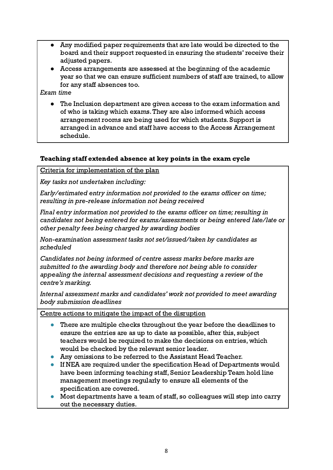- Any modified paper requirements that are late would be directed to the board and their support requested in ensuring the students' receive their adjusted papers.
- *●* Access arrangements are assessed at the beginning of the academic year so that we can ensure sufficient numbers of staff are trained, to allow for any staff absences too.

Exam time

● The Inclusion department are given access to the exam information and of who is taking which exams.They are also informed which access arrangement rooms are being used for which students. Support is arranged in advance and staff have access to the Access Arrangement schedule.

# Teaching staff extended absence at key points in the exam cycle

Criteria for implementation of the plan

Key tasks not undertaken including:

Early/estimated entry information not provided to the exams officer on time; resulting in pre-release information not being received

Final entry information not provided to the exams officer on time; resulting in candidates not being entered for exams/assessments or being entered late/late or other penalty fees being charged by awarding bodies

Non-examination assessment tasks not set/issued/taken by candidates as scheduled

Candidates not being informed of centre assess marks before marks are submitted to the awarding body and therefore not being able to consider appealing the internal assessment decisions and requesting a review of the centre's marking.

Internal assessment marks and candidates' work not provided to meet awarding body submission deadlines

Centre actions to mitigate the impact of the disruption

- There are multiple checks throughout the year before the deadlines to ensure the entries are as up to date as possible, after this, subject teachers would be required to make the decisions on entries, which would be checked by the relevant senior leader.
- Any omissions to be referred to the Assistant Head Teacher.
- If NEA are required under the specification Head of Departments would have been informing teaching staff, Senior Leadership Team hold line management meetings regularly to ensure all elements of the specification are covered.
- Most departments have a team of staff, so colleagues will step into carry out the necessary duties.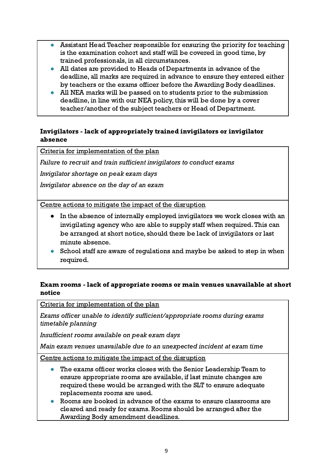- Assistant Head Teacher responsible for ensuring the priority for teaching is the examination cohort and staff will be covered in good time, by trained professionals, in all circumstances.
- All dates are provided to Heads of Departments in advance of the deadline, all marks are required in advance to ensure they entered either by teachers or the exams officer before the Awarding Body deadlines.
- All NEA marks will be passed on to students prior to the submission deadline, in line with our NEA policy, this will be done by a cover teacher/another of the subject teachers or Head of Department.

# Invigilators - lack of appropriately trained invigilators or invigilator absence

Criteria for implementation of the plan

Failure to recruit and train sufficient invigilators to conduct exams

Invigilator shortage on peak exam days

Invigilator absence on the day of an exam

Centre actions to mitigate the impact of the disruption

- In the absence of internally employed invigilators we work closes with an invigilating agency who are able to supply staff when required.This can be arranged at short notice, should there be lack of invigilators or last minute absence.
- School staff are aware of regulations and maybe be asked to step in when required.

# Exam rooms - lack of appropriate rooms or main venues unavailable at short notice

Criteria for implementation of the plan

Exams officer unable to identify sufficient/appropriate rooms during exams timetable planning

Insufficient rooms available on peak exam days

Main exam venues unavailable due to an unexpected incident at exam time

Centre actions to mitigate the impact of the disruption

- The exams officer works closes with the Senior Leadership Team to ensure appropriate rooms are available, if last minute changes are required these would be arranged with the SLT to ensure adequate replacements rooms are used.
- Rooms are booked in advance of the exams to ensure classrooms are cleared and ready for exams. Rooms should be arranged after the Awarding Body amendment deadlines.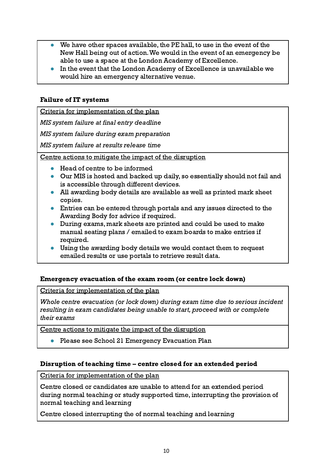- We have other spaces available, the PE hall, to use in the event of the New Hall being out of action.We would in the event of an emergency be able to use a space at the London Academy of Excellence.
- In the event that the London Academy of Excellence is unavailable we would hire an emergency alternative venue.

# Failure of IT systems

Criteria for implementation of the plan

MIS system failure at final entry deadline

MIS system failure during exam preparation

MIS system failure at results release time

Centre actions to mitigate the impact of the disruption

- Head of centre to be informed
- Our MIS is hosted and backed up daily, so essentially should not fail and is accessible through different devices.
- All awarding body details are available as well as printed mark sheet copies.
- Entries can be entered through portals and any issues directed to the Awarding Body for advice if required.
- During exams, mark sheets are printed and could be used to make manual seating plans / emailed to exam boards to make entries if required.
- Using the awarding body details we would contact them to request emailed results or use portals to retrieve result data.

# Emergency evacuation of the exam room (or centre lock down)

Criteria for implementation of the plan

Whole centre evacuation (or lock down) during exam time due to serious incident resulting in exam candidates being unable to start, proceed with or complete their exams

Centre actions to mitigate the impact of the disruption

Please see School 21 Emergency Evacuation Plan

#### Disruption of teaching time – centre closed for an extended period

Criteria for implementation of the plan

Centre closed or candidates are unable to attend for an extended period during normal teaching or study supported time, interrupting the provision of normal teaching and learning

Centre closed interrupting the of normal teaching and learning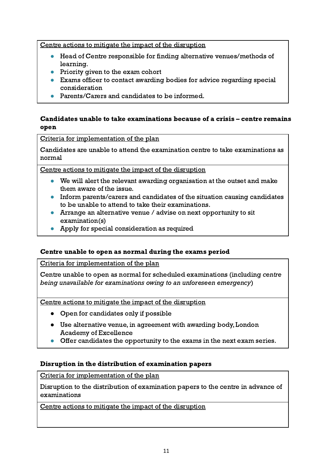Centre actions to mitigate the impact of the disruption

- Head of Centre responsible for finding alternative venues/methods of learning.
- Priority given to the exam cohort
- Exams officer to contact awarding bodies for advice regarding special consideration
- Parents/Carers and candidates to be informed.

# Candidates unable to take examinations because of a crisis – centre remains open

#### Criteria for implementation of the plan

Candidates are unable to attend the examination centre to take examinations as normal

Centre actions to mitigate the impact of the disruption

- We will alert the relevant awarding organisation at the outset and make them aware of the issue.
- Inform parents/carers and candidates of the situation causing candidates to be unable to attend to take their examinations.
- Arrange an alternative venue / advise on next opportunity to sit examination(s)
- Apply for special consideration as required

#### Centre unable to open as normal during the exams period

Criteria for implementation of the plan

Centre unable to open as normal for scheduled examinations (including centre being unavailable for examinations owing to an unforeseen emergency)

Centre actions to mitigate the impact of the disruption

- Open for candidates only if possible
- Use alternative venue, in agreement with awarding body, London Academy of Excellence
- Offer candidates the opportunity to the exams in the next exam series.

#### Disruption in the distribution of examination papers

Criteria for implementation of the plan

Disruption to the distribution of examination papers to the centre in advance of examinations

Centre actions to mitigate the impact of the disruption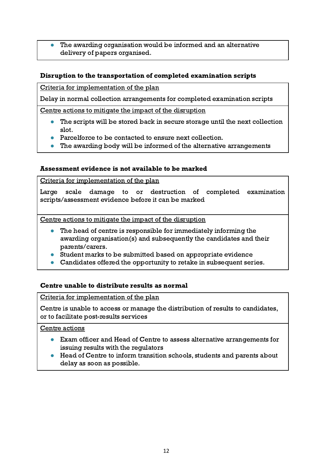The awarding organisation would be informed and an alternative delivery of papers organised.

# Disruption to the transportation of completed examination scripts

Criteria for implementation of the plan

Delay in normal collection arrangements for completed examination scripts

Centre actions to mitigate the impact of the disruption

- The scripts will be stored back in secure storage until the next collection slot.
- Parcelforce to be contacted to ensure next collection.
- The awarding body will be informed of the alternative arrangements

# Assessment evidence is not available to be marked

Criteria for implementation of the plan

Large scale damage to or destruction of completed examination scripts/assessment evidence before it can be marked

Centre actions to mitigate the impact of the disruption

- The head of centre is responsible for immediately informing the awarding organisation(s) and subsequently the candidates and their parents/carers.
- Student marks to be submitted based on appropriate evidence
- Candidates offered the opportunity to retake in subsequent series.

# Centre unable to distribute results as normal

#### Criteria for implementation of the plan

Centre is unable to access or manage the distribution of results to candidates, or to facilitate post-results services

# Centre actions

- Exam officer and Head of Centre to assess alternative arrangements for issuing results with the regulators
- Head of Centre to inform transition schools, students and parents about delay as soon as possible.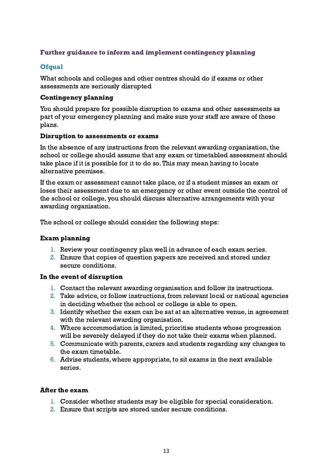# Further guidance to inform and implement contingency planning

# **Ofqual**

What schools and colleges and other centres should do if exams or other assessments are seriously disrupted

#### Contingency planning

You should prepare for possible disruption to exams and other assessments as part of your emergency planning and make sure your staff are aware of these plans.

#### Disruption to assessments or exams

In the absence of any instructions from the relevant awarding organisation, the school or college should assume that any exam or timetabled assessment should take place if it is possible for it to do so.This may mean having to locate alternative premises.

If the exam or assessment cannot take place, or if a student misses an exam or loses their assessment due to an emergency or other event outside the control of the school or college, you should discuss alternative arrangements with your awarding organisation.

The school or college should consider the following steps:

#### Exam planning

- 1. Review your contingency plan well in advance of each exam series.
- 2. Ensure that copies of question papers are received and stored under secure conditions.

#### In the event of disruption

- 1. Contact the relevant awarding organisation and follow its instructions.
- 2. Take advice, or follow instructions, from relevant local or national agencies in deciding whether the school or college is able to open.
- 3. Identify whether the exam can be sat at an alternative venue, in agreement with the relevant awarding organisation.
- 4. Where accommodation is limited, prioritise students whose progression will be severely delayed if they do not take their exams when planned.
- 5. Communicate with parents, carers and students regarding any changes to the exam timetable.
- 6. Advise students, where appropriate, to sit exams in the next available series.

#### After the exam

- 1. Consider whether students may be eligible for special consideration.
- 2. Ensure that scripts are stored under secure conditions.